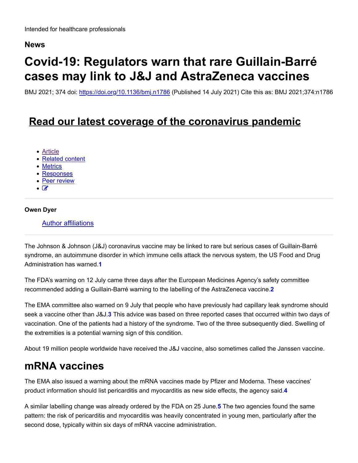### **News**

# **Covid-19: Regulators warn that rare Guillain-Barré cases may link to J&J and AstraZeneca vaccines**

BMJ 2021; 374 doi: https://doi.org/10.1136/bmj.n1786 (Published 14 July 2021) Cite this as: BMJ 2021;374:n1786

### **Read our latest coverage of the coronavirus pandemic**

- Article
- Related content
- Metrics
- Responses
- Peer review
- $\bullet$   $\rightarrow$

#### **Owen Dyer**

#### Author affiliations

The Johnson & Johnson (J&J) coronavirus vaccine may be linked to rare but serious cases of Guillain-Barré syndrome, an autoimmune disorder in which immune cells attack the nervous system, the US Food and Drug Administration has warned.**1**

The FDA's warning on 12 July came three days after the European Medicines Agency's safety committee recommended adding a Guillain-Barré warning to the labelling of the AstraZeneca vaccine.**2**

The EMA committee also warned on 9 July that people who have previously had capillary leak syndrome should seek a vaccine other than J&J.**3** This advice was based on three reported cases that occurred within two days of vaccination. One of the patients had a history of the syndrome. Two of the three subsequently died. Swelling of the extremities is a potential warning sign of this condition.

About 19 million people worldwide have received the J&J vaccine, also sometimes called the Janssen vaccine.

### **mRNA vaccines**

The EMA also issued a warning about the mRNA vaccines made by Pfizer and Moderna. These vaccines' product information should list pericarditis and myocarditis as new side effects, the agency said.**4**

A similar labelling change was already ordered by the FDA on 25 June.**5** The two agencies found the same pattern: the risk of pericarditis and myocarditis was heavily concentrated in young men, particularly after the second dose, typically within six days of mRNA vaccine administration.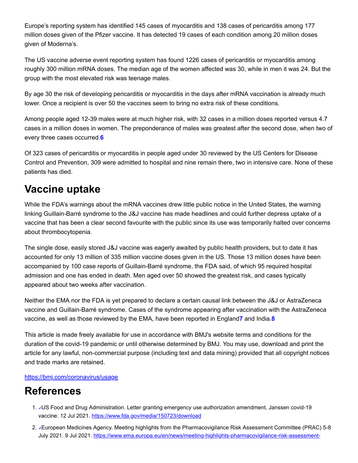Europe's reporting system has identified 145 cases of myocarditis and 138 cases of pericarditis among 177 million doses given of the Pfizer vaccine. It has detected 19 cases of each condition among 20 million doses given of Moderna's.

The US vaccine adverse event reporting system has found 1226 cases of pericarditis or myocarditis among roughly 300 million mRNA doses. The median age of the women affected was 30, while in men it was 24. But the group with the most elevated risk was teenage males.

By age 30 the risk of developing pericarditis or myocarditis in the days after mRNA vaccination is already much lower. Once a recipient is over 50 the vaccines seem to bring no extra risk of these conditions.

Among people aged 12-39 males were at much higher risk, with 32 cases in a million doses reported versus 4.7 cases in a million doses in women. The preponderance of males was greatest after the second dose, when two of every three cases occurred.**6**

Of 323 cases of pericarditis or myocarditis in people aged under 30 reviewed by the US Centers for Disease Control and Prevention, 309 were admitted to hospital and nine remain there, two in intensive care. None of these patients has died.

# **Vaccine uptake**

While the FDA's warnings about the mRNA vaccines drew little public notice in the United States, the warning linking Guillain-Barré syndrome to the J&J vaccine has made headlines and could further depress uptake of a vaccine that has been a clear second favourite with the public since its use was temporarily halted over concerns about thrombocytopenia.

The single dose, easily stored J&J vaccine was eagerly awaited by public health providers, but to date it has accounted for only 13 million of 335 million vaccine doses given in the US. Those 13 million doses have been accompanied by 100 case reports of Guillain-Barré syndrome, the FDA said, of which 95 required hospital admission and one has ended in death. Men aged over 50 showed the greatest risk, and cases typically appeared about two weeks after vaccination.

Neither the EMA nor the FDA is yet prepared to declare a certain causal link between the J&J or AstraZeneca vaccine and Guillain-Barré syndrome. Cases of the syndrome appearing after vaccination with the AstraZeneca vaccine, as well as those reviewed by the EMA, have been reported in England**7** and India.**8**

This article is made freely available for use in accordance with BMJ's website terms and conditions for the duration of the covid-19 pandemic or until otherwise determined by BMJ. You may use, download and print the article for any lawful, non-commercial purpose (including text and data mining) provided that all copyright notices and trade marks are retained.

#### https://bmj.com/coronavirus/usage

## **References**

- 1. JUS Food and Drug Administration. Letter granting emergency use authorization amendment, Janssen covid-19 vaccine. 12 Jul 2021. https://www.fda.gov/media/150723/download
- 2. ↵European Medicines Agency. Meeting highlights from the Pharmacovigilance Risk Assessment Committee (PRAC) 5-8 July 2021. 9 Jul 2021. https://www.ema.europa.eu/en/news/meeting-highlights-pharmacovigilance-risk-assessment-